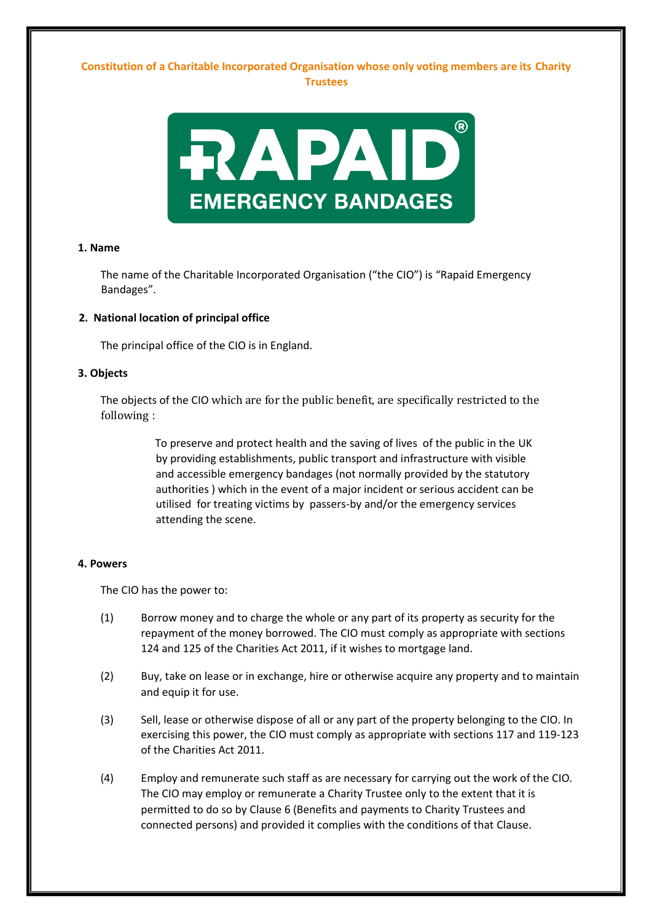**Constitution of a Charitable Incorporated Organisation whose only voting members are its Charity Trustees**



#### **1. Name**

The name of the Charitable Incorporated Organisation ("the CIO") is "Rapaid Emergency Bandages".

### **2. National location of principal office**

The principal office of the CIO is in England.

#### **3. Objects**

The objects of the CIO which are for the public benefit, are specifically restricted to the following :

> To preserve and protect health and the saving of lives of the public in the UK by providing establishments, public transport and infrastructure with visible and accessible emergency bandages (not normally provided by the statutory authorities ) which in the event of a major incident or serious accident can be utilised for treating victims by passers-by and/or the emergency services attending the scene.

#### **4. Powers**

The CIO has the power to:

- (1) Borrow money and to charge the whole or any part of its property as security for the repayment of the money borrowed. The CIO must comply as appropriate with sections 124 and 125 of the Charities Act 2011, if it wishes to mortgage land.
- (2) Buy, take on lease or in exchange, hire or otherwise acquire any property and to maintain and equip it for use.
- (3) Sell, lease or otherwise dispose of all or any part of the property belonging to the CIO. In exercising this power, the CIO must comply as appropriate with sections 117 and 119-123 of the Charities Act 2011.
- (4) Employ and remunerate such staff as are necessary for carrying out the work of the CIO. The CIO may employ or remunerate a Charity Trustee only to the extent that it is permitted to do so by Clause 6 (Benefits and payments to Charity Trustees and connected persons) and provided it complies with the conditions of that Clause.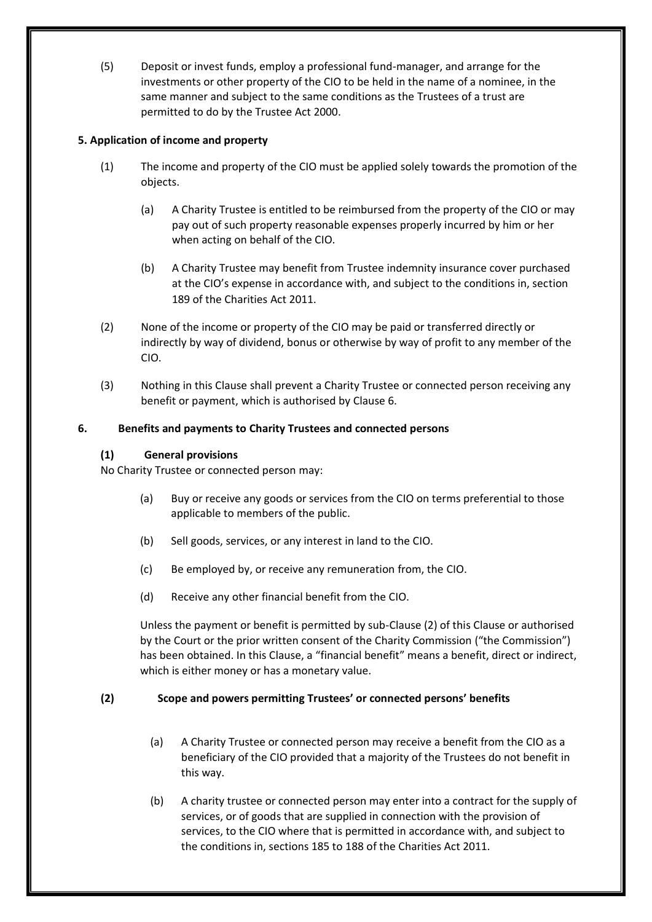(5) Deposit or invest funds, employ a professional fund-manager, and arrange for the investments or other property of the CIO to be held in the name of a nominee, in the same manner and subject to the same conditions as the Trustees of a trust are permitted to do by the Trustee Act 2000.

## **5. Application of income and property**

- (1) The income and property of the CIO must be applied solely towards the promotion of the objects.
	- (a) A Charity Trustee is entitled to be reimbursed from the property of the CIO or may pay out of such property reasonable expenses properly incurred by him or her when acting on behalf of the CIO.
	- (b) A Charity Trustee may benefit from Trustee indemnity insurance cover purchased at the CIO's expense in accordance with, and subject to the conditions in, section 189 of the Charities Act 2011.
- (2) None of the income or property of the CIO may be paid or transferred directly or indirectly by way of dividend, bonus or otherwise by way of profit to any member of the CIO.
- (3) Nothing in this Clause shall prevent a Charity Trustee or connected person receiving any benefit or payment, which is authorised by Clause 6.

## **6. Benefits and payments to Charity Trustees and connected persons**

## **(1) General provisions**

No Charity Trustee or connected person may:

- (a) Buy or receive any goods or services from the CIO on terms preferential to those applicable to members of the public.
- (b) Sell goods, services, or any interest in land to the CIO.
- (c) Be employed by, or receive any remuneration from, the CIO.
- (d) Receive any other financial benefit from the CIO.

Unless the payment or benefit is permitted by sub-Clause (2) of this Clause or authorised by the Court or the prior written consent of the Charity Commission ("the Commission") has been obtained. In this Clause, a "financial benefit" means a benefit, direct or indirect, which is either money or has a monetary value.

# **(2) Scope and powers permitting Trustees' or connected persons' benefits**

- (a) A Charity Trustee or connected person may receive a benefit from the CIO as a beneficiary of the CIO provided that a majority of the Trustees do not benefit in this way.
- (b) A charity trustee or connected person may enter into a contract for the supply of services, or of goods that are supplied in connection with the provision of services, to the CIO where that is permitted in accordance with, and subject to the conditions in, sections 185 to 188 of the Charities Act 2011.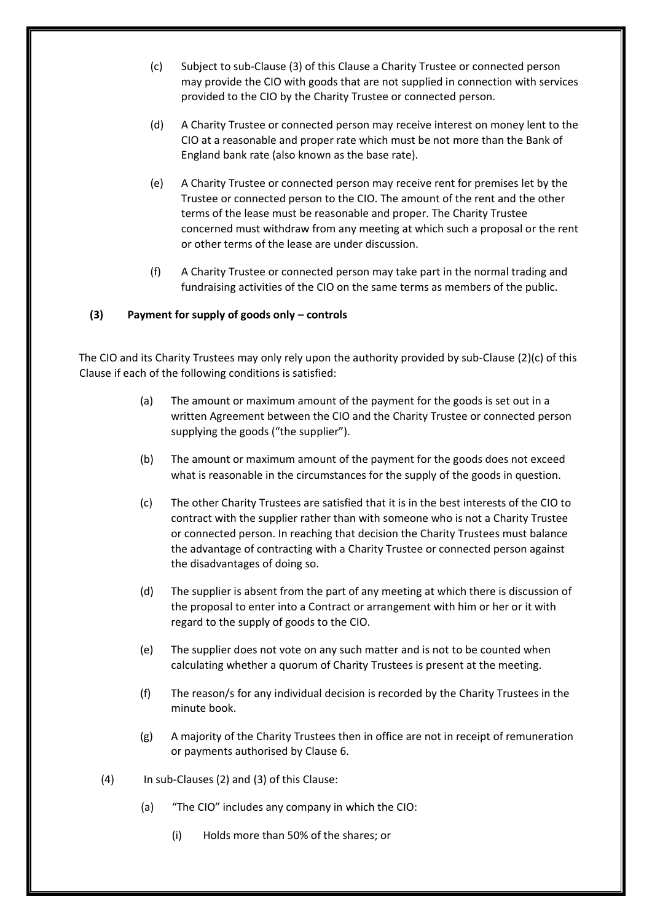- (c) Subject to sub-Clause (3) of this Clause a Charity Trustee or connected person may provide the CIO with goods that are not supplied in connection with services provided to the CIO by the Charity Trustee or connected person.
- (d) A Charity Trustee or connected person may receive interest on money lent to the CIO at a reasonable and proper rate which must be not more than the Bank of England bank rate (also known as the base rate).
- (e) A Charity Trustee or connected person may receive rent for premises let by the Trustee or connected person to the CIO. The amount of the rent and the other terms of the lease must be reasonable and proper. The Charity Trustee concerned must withdraw from any meeting at which such a proposal or the rent or other terms of the lease are under discussion.
- (f) A Charity Trustee or connected person may take part in the normal trading and fundraising activities of the CIO on the same terms as members of the public.

## **(3) Payment for supply of goods only – controls**

The CIO and its Charity Trustees may only rely upon the authority provided by sub-Clause (2)(c) of this Clause if each of the following conditions is satisfied:

- (a) The amount or maximum amount of the payment for the goods is set out in a written Agreement between the CIO and the Charity Trustee or connected person supplying the goods ("the supplier").
- (b) The amount or maximum amount of the payment for the goods does not exceed what is reasonable in the circumstances for the supply of the goods in question.
- (c) The other Charity Trustees are satisfied that it is in the best interests of the CIO to contract with the supplier rather than with someone who is not a Charity Trustee or connected person. In reaching that decision the Charity Trustees must balance the advantage of contracting with a Charity Trustee or connected person against the disadvantages of doing so.
- (d) The supplier is absent from the part of any meeting at which there is discussion of the proposal to enter into a Contract or arrangement with him or her or it with regard to the supply of goods to the CIO.
- (e) The supplier does not vote on any such matter and is not to be counted when calculating whether a quorum of Charity Trustees is present at the meeting.
- (f) The reason/s for any individual decision is recorded by the Charity Trustees in the minute book.
- (g) A majority of the Charity Trustees then in office are not in receipt of remuneration or payments authorised by Clause 6.
- (4) In sub-Clauses (2) and (3) of this Clause:
	- (a) "The CIO" includes any company in which the CIO:
		- (i) Holds more than 50% of the shares; or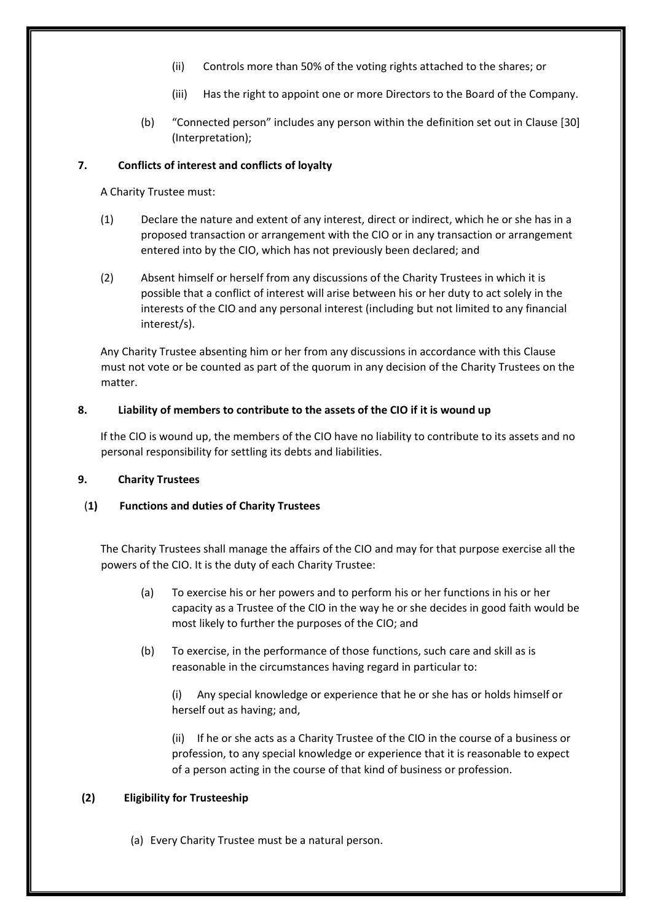- (ii) Controls more than 50% of the voting rights attached to the shares; or
- (iii) Has the right to appoint one or more Directors to the Board of the Company.
- (b) "Connected person" includes any person within the definition set out in Clause [30] (Interpretation);

## **7. Conflicts of interest and conflicts of loyalty**

A Charity Trustee must:

- (1) Declare the nature and extent of any interest, direct or indirect, which he or she has in a proposed transaction or arrangement with the CIO or in any transaction or arrangement entered into by the CIO, which has not previously been declared; and
- (2) Absent himself or herself from any discussions of the Charity Trustees in which it is possible that a conflict of interest will arise between his or her duty to act solely in the interests of the CIO and any personal interest (including but not limited to any financial interest/s).

Any Charity Trustee absenting him or her from any discussions in accordance with this Clause must not vote or be counted as part of the quorum in any decision of the Charity Trustees on the matter.

### **8. Liability of members to contribute to the assets of the CIO if it is wound up**

If the CIO is wound up, the members of the CIO have no liability to contribute to its assets and no personal responsibility for settling its debts and liabilities.

### **9. Charity Trustees**

## (**1) Functions and duties of Charity Trustees**

The Charity Trustees shall manage the affairs of the CIO and may for that purpose exercise all the powers of the CIO. It is the duty of each Charity Trustee:

- (a) To exercise his or her powers and to perform his or her functions in his or her capacity as a Trustee of the CIO in the way he or she decides in good faith would be most likely to further the purposes of the CIO; and
- (b) To exercise, in the performance of those functions, such care and skill as is reasonable in the circumstances having regard in particular to:

(i) Any special knowledge or experience that he or she has or holds himself or herself out as having; and,

(ii) If he or she acts as a Charity Trustee of the CIO in the course of a business or profession, to any special knowledge or experience that it is reasonable to expect of a person acting in the course of that kind of business or profession.

## **(2) Eligibility for Trusteeship**

(a) Every Charity Trustee must be a natural person.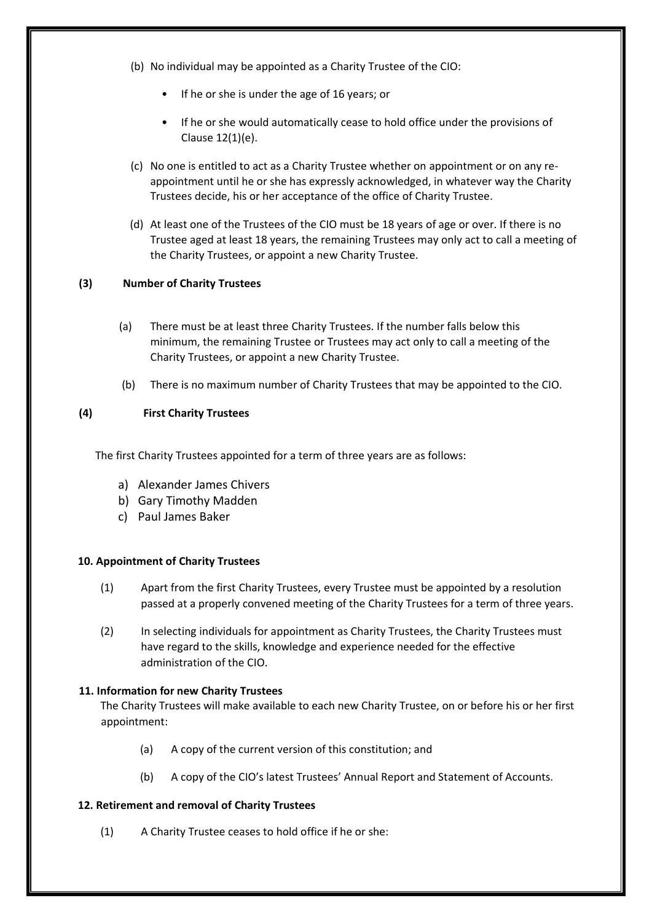- (b) No individual may be appointed as a Charity Trustee of the CIO:
	- If he or she is under the age of 16 years; or
	- If he or she would automatically cease to hold office under the provisions of Clause 12(1)(e).
- (c) No one is entitled to act as a Charity Trustee whether on appointment or on any reappointment until he or she has expressly acknowledged, in whatever way the Charity Trustees decide, his or her acceptance of the office of Charity Trustee.
- (d) At least one of the Trustees of the CIO must be 18 years of age or over. If there is no Trustee aged at least 18 years, the remaining Trustees may only act to call a meeting of the Charity Trustees, or appoint a new Charity Trustee.

# **(3) Number of Charity Trustees**

- (a) There must be at least three Charity Trustees. If the number falls below this minimum, the remaining Trustee or Trustees may act only to call a meeting of the Charity Trustees, or appoint a new Charity Trustee.
- (b) There is no maximum number of Charity Trustees that may be appointed to the CIO.

# **(4) First Charity Trustees**

The first Charity Trustees appointed for a term of three years are as follows:

- a) Alexander James Chivers
- b) Gary Timothy Madden
- c) Paul James Baker

# **10. Appointment of Charity Trustees**

- (1) Apart from the first Charity Trustees, every Trustee must be appointed by a resolution passed at a properly convened meeting of the Charity Trustees for a term of three years.
- (2) In selecting individuals for appointment as Charity Trustees, the Charity Trustees must have regard to the skills, knowledge and experience needed for the effective administration of the CIO.

# **11. Information for new Charity Trustees**

The Charity Trustees will make available to each new Charity Trustee, on or before his or her first appointment:

- (a) A copy of the current version of this constitution; and
- (b) A copy of the CIO's latest Trustees' Annual Report and Statement of Accounts.

# **12. Retirement and removal of Charity Trustees**

(1) A Charity Trustee ceases to hold office if he or she: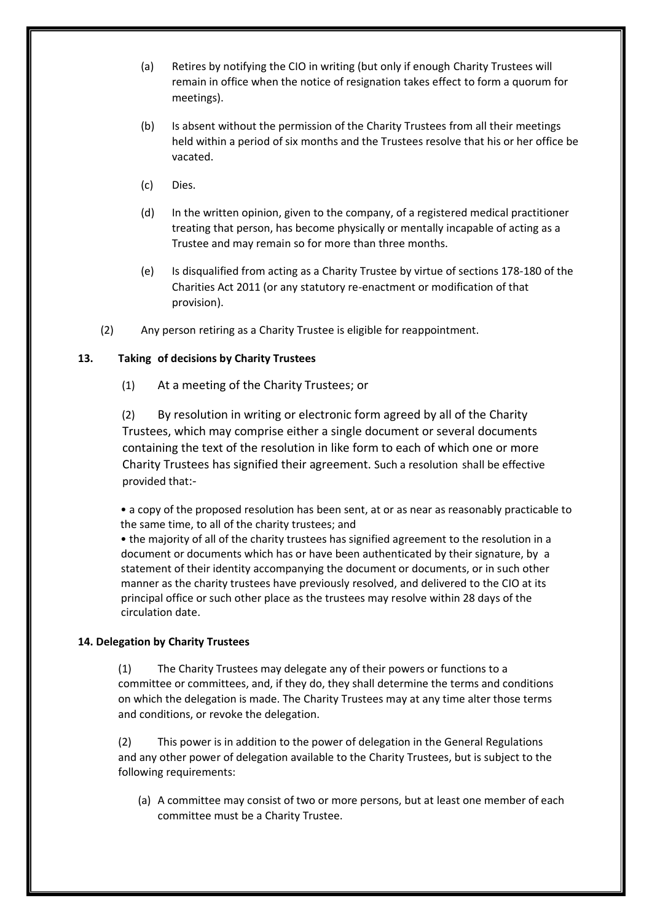- (a) Retires by notifying the CIO in writing (but only if enough Charity Trustees will remain in office when the notice of resignation takes effect to form a quorum for meetings).
- (b) Is absent without the permission of the Charity Trustees from all their meetings held within a period of six months and the Trustees resolve that his or her office be vacated.
- (c) Dies.
- (d) In the written opinion, given to the company, of a registered medical practitioner treating that person, has become physically or mentally incapable of acting as a Trustee and may remain so for more than three months.
- (e) Is disqualified from acting as a Charity Trustee by virtue of sections 178-180 of the Charities Act 2011 (or any statutory re-enactment or modification of that provision).
- (2) Any person retiring as a Charity Trustee is eligible for reappointment.

## **13. Taking of decisions by Charity Trustees**

(1) At a meeting of the Charity Trustees; or

(2) By resolution in writing or electronic form agreed by all of the Charity Trustees, which may comprise either a single document or several documents containing the text of the resolution in like form to each of which one or more Charity Trustees has signified their agreement. Such a resolution shall be effective provided that:-

• a copy of the proposed resolution has been sent, at or as near as reasonably practicable to the same time, to all of the charity trustees; and

• the majority of all of the charity trustees has signified agreement to the resolution in a document or documents which has or have been authenticated by their signature, by a statement of their identity accompanying the document or documents, or in such other manner as the charity trustees have previously resolved, and delivered to the CIO at its principal office or such other place as the trustees may resolve within 28 days of the circulation date.

## **14. Delegation by Charity Trustees**

(1) The Charity Trustees may delegate any of their powers or functions to a committee or committees, and, if they do, they shall determine the terms and conditions on which the delegation is made. The Charity Trustees may at any time alter those terms and conditions, or revoke the delegation.

(2) This power is in addition to the power of delegation in the General Regulations and any other power of delegation available to the Charity Trustees, but is subject to the following requirements:

(a) A committee may consist of two or more persons, but at least one member of each committee must be a Charity Trustee.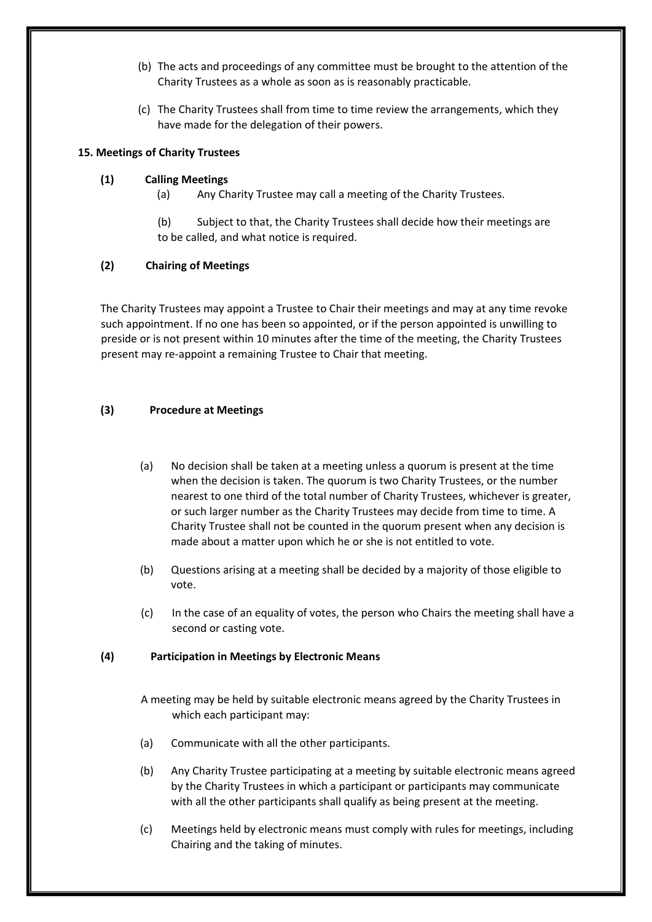- (b) The acts and proceedings of any committee must be brought to the attention of the Charity Trustees as a whole as soon as is reasonably practicable.
- (c) The Charity Trustees shall from time to time review the arrangements, which they have made for the delegation of their powers.

### **15. Meetings of Charity Trustees**

### **(1) Calling Meetings**

(a) Any Charity Trustee may call a meeting of the Charity Trustees.

(b) Subject to that, the Charity Trustees shall decide how their meetings are to be called, and what notice is required.

### **(2) Chairing of Meetings**

The Charity Trustees may appoint a Trustee to Chair their meetings and may at any time revoke such appointment. If no one has been so appointed, or if the person appointed is unwilling to preside or is not present within 10 minutes after the time of the meeting, the Charity Trustees present may re-appoint a remaining Trustee to Chair that meeting.

### **(3) Procedure at Meetings**

- (a) No decision shall be taken at a meeting unless a quorum is present at the time when the decision is taken. The quorum is two Charity Trustees, or the number nearest to one third of the total number of Charity Trustees, whichever is greater, or such larger number as the Charity Trustees may decide from time to time. A Charity Trustee shall not be counted in the quorum present when any decision is made about a matter upon which he or she is not entitled to vote.
- (b) Questions arising at a meeting shall be decided by a majority of those eligible to vote.
- (c) In the case of an equality of votes, the person who Chairs the meeting shall have a second or casting vote.

### **(4) Participation in Meetings by Electronic Means**

A meeting may be held by suitable electronic means agreed by the Charity Trustees in which each participant may:

- (a) Communicate with all the other participants.
- (b) Any Charity Trustee participating at a meeting by suitable electronic means agreed by the Charity Trustees in which a participant or participants may communicate with all the other participants shall qualify as being present at the meeting.
- (c) Meetings held by electronic means must comply with rules for meetings, including Chairing and the taking of minutes.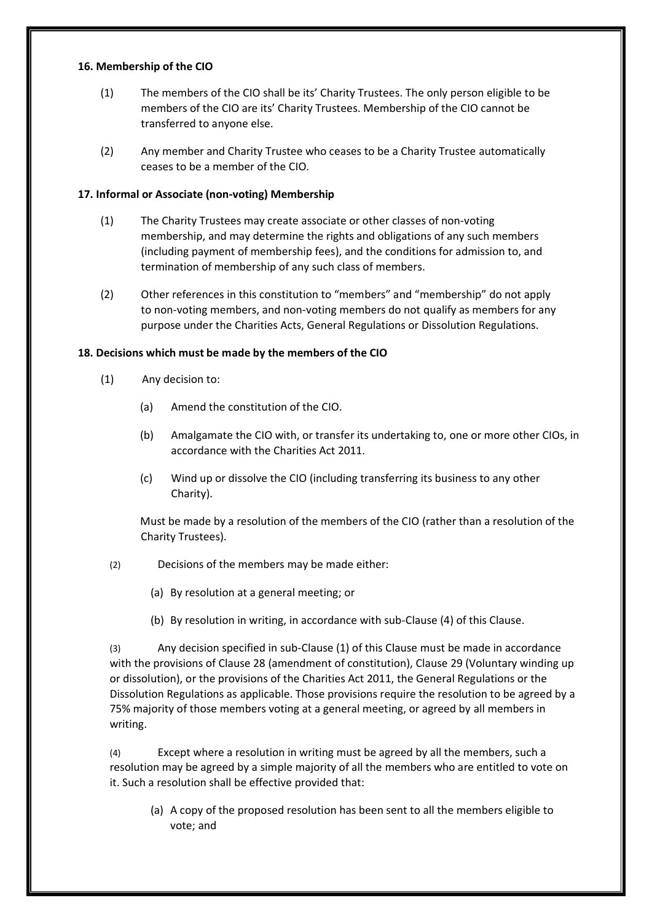### **16. Membership of the CIO**

- (1) The members of the CIO shall be its' Charity Trustees. The only person eligible to be members of the CIO are its' Charity Trustees. Membership of the CIO cannot be transferred to anyone else.
- (2) Any member and Charity Trustee who ceases to be a Charity Trustee automatically ceases to be a member of the CIO.

### **17. Informal or Associate (non-voting) Membership**

- (1) The Charity Trustees may create associate or other classes of non-voting membership, and may determine the rights and obligations of any such members (including payment of membership fees), and the conditions for admission to, and termination of membership of any such class of members.
- (2) Other references in this constitution to "members" and "membership" do not apply to non-voting members, and non-voting members do not qualify as members for any purpose under the Charities Acts, General Regulations or Dissolution Regulations.

### **18. Decisions which must be made by the members of the CIO**

- (1) Any decision to:
	- (a) Amend the constitution of the CIO.
	- (b) Amalgamate the CIO with, or transfer its undertaking to, one or more other CIOs, in accordance with the Charities Act 2011.
	- (c) Wind up or dissolve the CIO (including transferring its business to any other Charity).

Must be made by a resolution of the members of the CIO (rather than a resolution of the Charity Trustees).

- (2) Decisions of the members may be made either:
	- (a) By resolution at a general meeting; or
	- (b) By resolution in writing, in accordance with sub-Clause (4) of this Clause.

(3) Any decision specified in sub-Clause (1) of this Clause must be made in accordance with the provisions of Clause 28 (amendment of constitution), Clause 29 (Voluntary winding up or dissolution), or the provisions of the Charities Act 2011, the General Regulations or the Dissolution Regulations as applicable. Those provisions require the resolution to be agreed by a 75% majority of those members voting at a general meeting, or agreed by all members in writing.

(4) Except where a resolution in writing must be agreed by all the members, such a resolution may be agreed by a simple majority of all the members who are entitled to vote on it. Such a resolution shall be effective provided that:

(a) A copy of the proposed resolution has been sent to all the members eligible to vote; and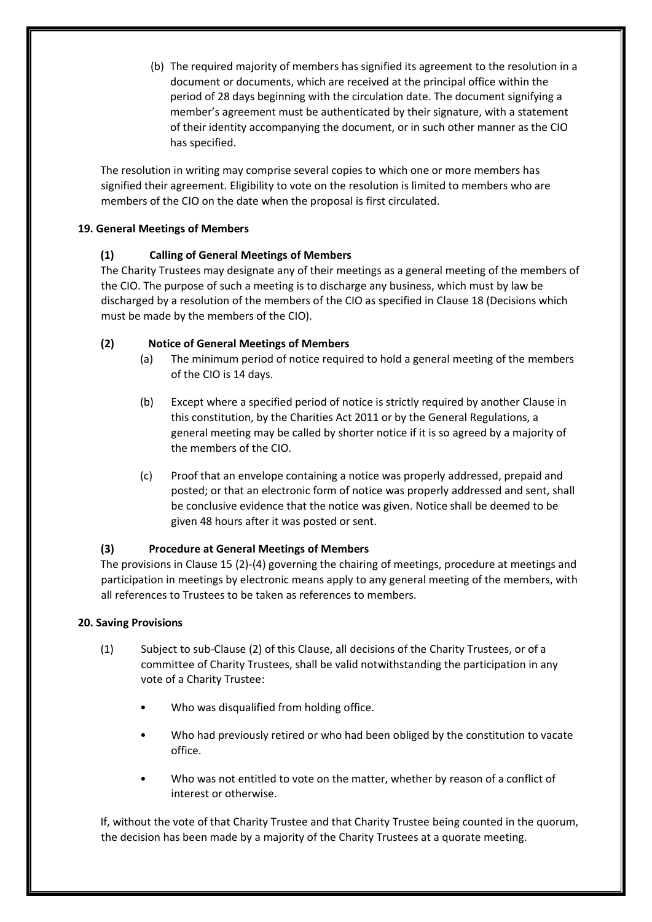(b) The required majority of members has signified its agreement to the resolution in a document or documents, which are received at the principal office within the period of 28 days beginning with the circulation date. The document signifying a member's agreement must be authenticated by their signature, with a statement of their identity accompanying the document, or in such other manner as the CIO has specified.

The resolution in writing may comprise several copies to which one or more members has signified their agreement. Eligibility to vote on the resolution is limited to members who are members of the CIO on the date when the proposal is first circulated.

# **19. General Meetings of Members**

# **(1) Calling of General Meetings of Members**

The Charity Trustees may designate any of their meetings as a general meeting of the members of the CIO. The purpose of such a meeting is to discharge any business, which must by law be discharged by a resolution of the members of the CIO as specified in Clause 18 (Decisions which must be made by the members of the CIO).

# **(2) Notice of General Meetings of Members**

- (a) The minimum period of notice required to hold a general meeting of the members of the CIO is 14 days.
- (b) Except where a specified period of notice is strictly required by another Clause in this constitution, by the Charities Act 2011 or by the General Regulations, a general meeting may be called by shorter notice if it is so agreed by a majority of the members of the CIO.
- (c) Proof that an envelope containing a notice was properly addressed, prepaid and posted; or that an electronic form of notice was properly addressed and sent, shall be conclusive evidence that the notice was given. Notice shall be deemed to be given 48 hours after it was posted or sent.

# **(3) Procedure at General Meetings of Members**

The provisions in Clause 15 (2)-(4) governing the chairing of meetings, procedure at meetings and participation in meetings by electronic means apply to any general meeting of the members, with all references to Trustees to be taken as references to members.

# **20. Saving Provisions**

- (1) Subject to sub-Clause (2) of this Clause, all decisions of the Charity Trustees, or of a committee of Charity Trustees, shall be valid notwithstanding the participation in any vote of a Charity Trustee:
	- Who was disqualified from holding office.
	- Who had previously retired or who had been obliged by the constitution to vacate office.
	- Who was not entitled to vote on the matter, whether by reason of a conflict of interest or otherwise.

If, without the vote of that Charity Trustee and that Charity Trustee being counted in the quorum, the decision has been made by a majority of the Charity Trustees at a quorate meeting.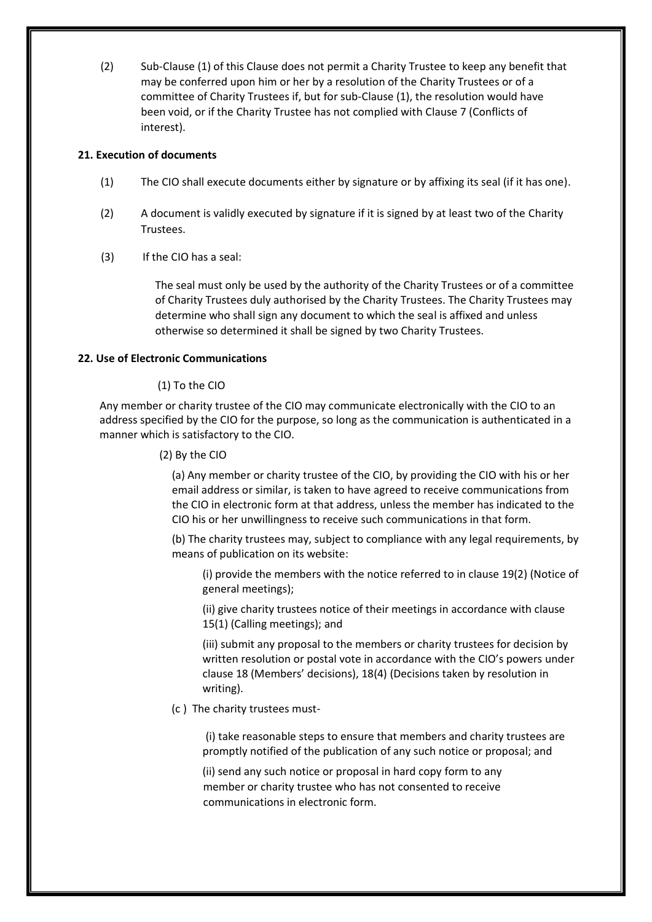(2) Sub-Clause (1) of this Clause does not permit a Charity Trustee to keep any benefit that may be conferred upon him or her by a resolution of the Charity Trustees or of a committee of Charity Trustees if, but for sub-Clause (1), the resolution would have been void, or if the Charity Trustee has not complied with Clause 7 (Conflicts of interest).

## **21. Execution of documents**

- (1) The CIO shall execute documents either by signature or by affixing its seal (if it has one).
- (2) A document is validly executed by signature if it is signed by at least two of the Charity Trustees.
- (3) If the CIO has a seal:

The seal must only be used by the authority of the Charity Trustees or of a committee of Charity Trustees duly authorised by the Charity Trustees. The Charity Trustees may determine who shall sign any document to which the seal is affixed and unless otherwise so determined it shall be signed by two Charity Trustees.

## **22. Use of Electronic Communications**

## (1) To the CIO

Any member or charity trustee of the CIO may communicate electronically with the CIO to an address specified by the CIO for the purpose, so long as the communication is authenticated in a manner which is satisfactory to the CIO.

(2) By the CIO

(a) Any member or charity trustee of the CIO, by providing the CIO with his or her email address or similar, is taken to have agreed to receive communications from the CIO in electronic form at that address, unless the member has indicated to the CIO his or her unwillingness to receive such communications in that form.

(b) The charity trustees may, subject to compliance with any legal requirements, by means of publication on its website:

(i) provide the members with the notice referred to in clause 19(2) (Notice of general meetings);

(ii) give charity trustees notice of their meetings in accordance with clause 15(1) (Calling meetings); and

(iii) submit any proposal to the members or charity trustees for decision by written resolution or postal vote in accordance with the CIO's powers under clause 18 (Members' decisions), 18(4) (Decisions taken by resolution in writing).

(c ) The charity trustees must-

(i) take reasonable steps to ensure that members and charity trustees are promptly notified of the publication of any such notice or proposal; and

(ii) send any such notice or proposal in hard copy form to any member or charity trustee who has not consented to receive communications in electronic form.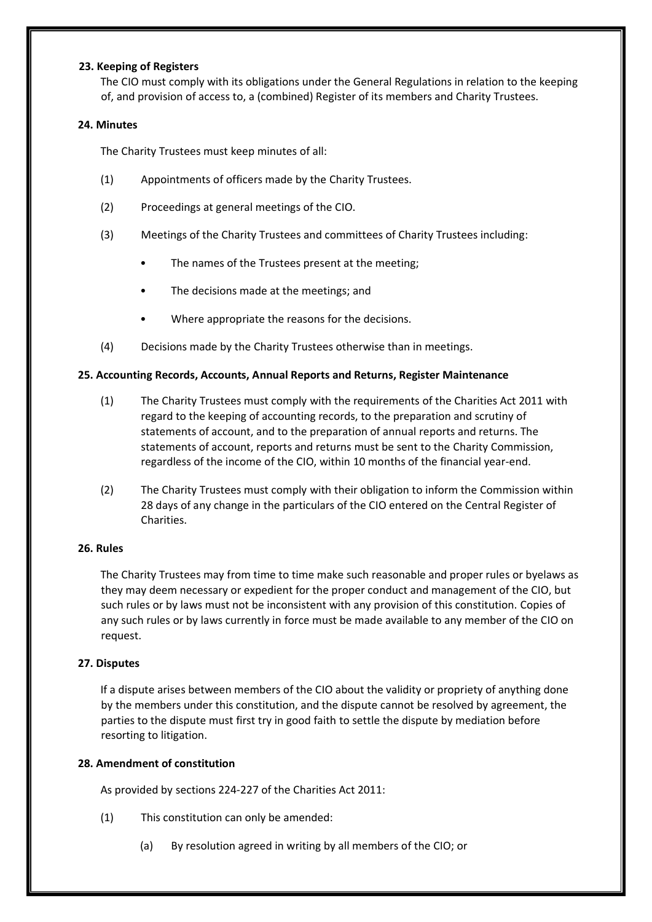### **23. Keeping of Registers**

The CIO must comply with its obligations under the General Regulations in relation to the keeping of, and provision of access to, a (combined) Register of its members and Charity Trustees.

### **24. Minutes**

The Charity Trustees must keep minutes of all:

- (1) Appointments of officers made by the Charity Trustees.
- (2) Proceedings at general meetings of the CIO.
- (3) Meetings of the Charity Trustees and committees of Charity Trustees including:
	- The names of the Trustees present at the meeting;
	- The decisions made at the meetings; and
	- Where appropriate the reasons for the decisions.
- (4) Decisions made by the Charity Trustees otherwise than in meetings.

### **25. Accounting Records, Accounts, Annual Reports and Returns, Register Maintenance**

- (1) The Charity Trustees must comply with the requirements of the Charities Act 2011 with regard to the keeping of accounting records, to the preparation and scrutiny of statements of account, and to the preparation of annual reports and returns. The statements of account, reports and returns must be sent to the Charity Commission, regardless of the income of the CIO, within 10 months of the financial year-end.
- (2) The Charity Trustees must comply with their obligation to inform the Commission within 28 days of any change in the particulars of the CIO entered on the Central Register of Charities.

## **26. Rules**

The Charity Trustees may from time to time make such reasonable and proper rules or byelaws as they may deem necessary or expedient for the proper conduct and management of the CIO, but such rules or by laws must not be inconsistent with any provision of this constitution. Copies of any such rules or by laws currently in force must be made available to any member of the CIO on request.

### **27. Disputes**

If a dispute arises between members of the CIO about the validity or propriety of anything done by the members under this constitution, and the dispute cannot be resolved by agreement, the parties to the dispute must first try in good faith to settle the dispute by mediation before resorting to litigation.

### **28. Amendment of constitution**

As provided by sections 224-227 of the Charities Act 2011:

- (1) This constitution can only be amended:
	- (a) By resolution agreed in writing by all members of the CIO; or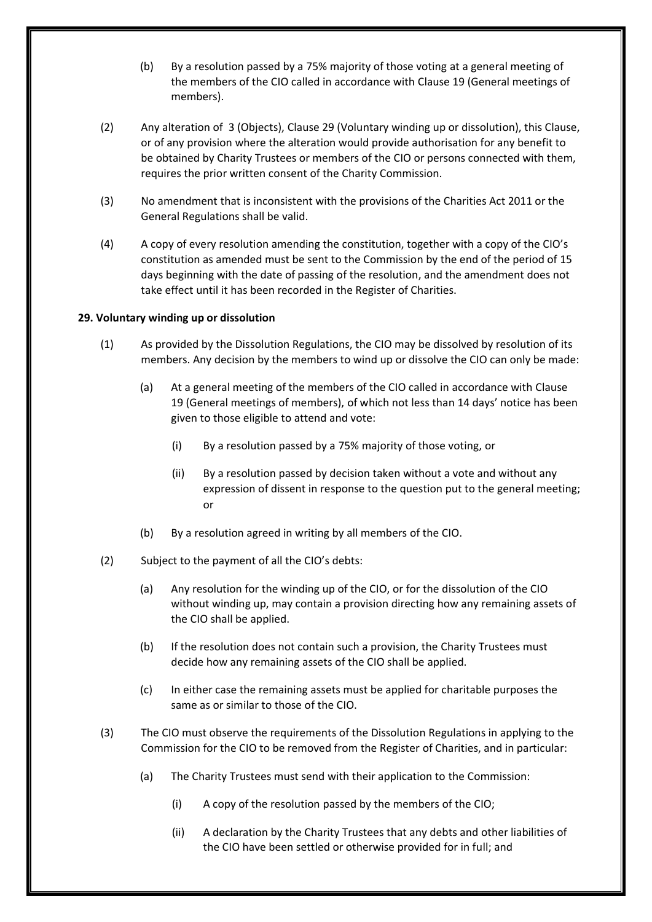- (b) By a resolution passed by a 75% majority of those voting at a general meeting of the members of the CIO called in accordance with Clause 19 (General meetings of members).
- (2) Any alteration of 3 (Objects), Clause 29 (Voluntary winding up or dissolution), this Clause, or of any provision where the alteration would provide authorisation for any benefit to be obtained by Charity Trustees or members of the CIO or persons connected with them, requires the prior written consent of the Charity Commission.
- (3) No amendment that is inconsistent with the provisions of the Charities Act 2011 or the General Regulations shall be valid.
- (4) A copy of every resolution amending the constitution, together with a copy of the CIO's constitution as amended must be sent to the Commission by the end of the period of 15 days beginning with the date of passing of the resolution, and the amendment does not take effect until it has been recorded in the Register of Charities.

## **29. Voluntary winding up or dissolution**

- (1) As provided by the Dissolution Regulations, the CIO may be dissolved by resolution of its members. Any decision by the members to wind up or dissolve the CIO can only be made:
	- (a) At a general meeting of the members of the CIO called in accordance with Clause 19 (General meetings of members), of which not less than 14 days' notice has been given to those eligible to attend and vote:
		- (i) By a resolution passed by a 75% majority of those voting, or
		- (ii) By a resolution passed by decision taken without a vote and without any expression of dissent in response to the question put to the general meeting; or
	- (b) By a resolution agreed in writing by all members of the CIO.
- (2) Subject to the payment of all the CIO's debts:
	- (a) Any resolution for the winding up of the CIO, or for the dissolution of the CIO without winding up, may contain a provision directing how any remaining assets of the CIO shall be applied.
	- (b) If the resolution does not contain such a provision, the Charity Trustees must decide how any remaining assets of the CIO shall be applied.
	- (c) In either case the remaining assets must be applied for charitable purposes the same as or similar to those of the CIO.
- (3) The CIO must observe the requirements of the Dissolution Regulations in applying to the Commission for the CIO to be removed from the Register of Charities, and in particular:
	- (a) The Charity Trustees must send with their application to the Commission:
		- (i) A copy of the resolution passed by the members of the CIO;
		- (ii) A declaration by the Charity Trustees that any debts and other liabilities of the CIO have been settled or otherwise provided for in full; and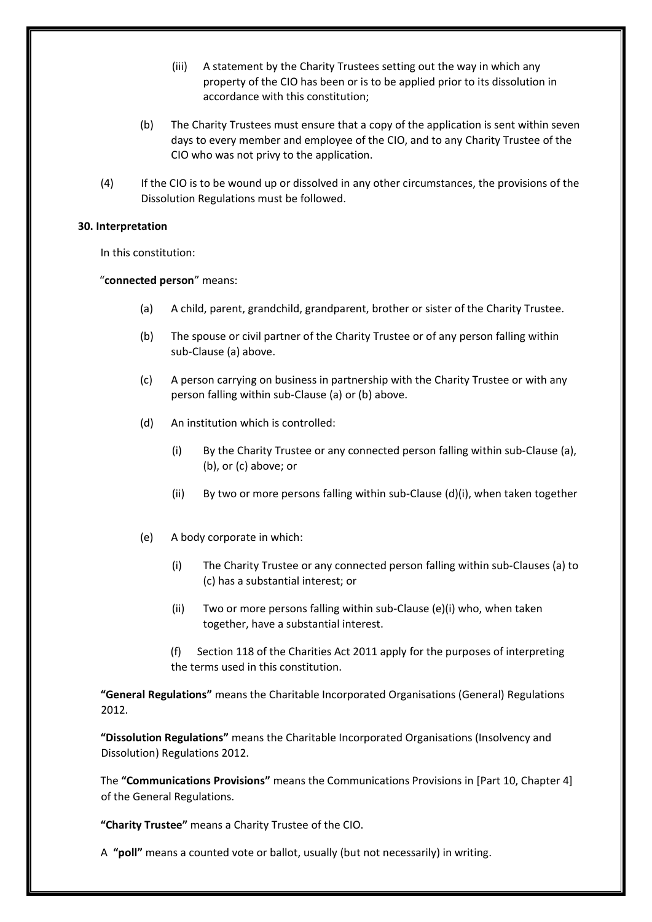- (iii) A statement by the Charity Trustees setting out the way in which any property of the CIO has been or is to be applied prior to its dissolution in accordance with this constitution;
- (b) The Charity Trustees must ensure that a copy of the application is sent within seven days to every member and employee of the CIO, and to any Charity Trustee of the CIO who was not privy to the application.
- (4) If the CIO is to be wound up or dissolved in any other circumstances, the provisions of the Dissolution Regulations must be followed.

### **30. Interpretation**

In this constitution:

"**connected person**" means:

- (a) A child, parent, grandchild, grandparent, brother or sister of the Charity Trustee.
- (b) The spouse or civil partner of the Charity Trustee or of any person falling within sub-Clause (a) above.
- (c) A person carrying on business in partnership with the Charity Trustee or with any person falling within sub-Clause (a) or (b) above.
- (d) An institution which is controlled:
	- (i) By the Charity Trustee or any connected person falling within sub-Clause (a), (b), or (c) above; or
	- (ii) By two or more persons falling within sub-Clause (d)(i), when taken together
- (e) A body corporate in which:
	- (i) The Charity Trustee or any connected person falling within sub-Clauses (a) to (c) has a substantial interest; or
	- (ii) Two or more persons falling within sub-Clause (e)(i) who, when taken together, have a substantial interest.
	- (f) Section 118 of the Charities Act 2011 apply for the purposes of interpreting the terms used in this constitution.

**"General Regulations"** means the Charitable Incorporated Organisations (General) Regulations 2012.

**"Dissolution Regulations"** means the Charitable Incorporated Organisations (Insolvency and Dissolution) Regulations 2012.

The **"Communications Provisions"** means the Communications Provisions in [Part 10, Chapter 4] of the General Regulations.

**"Charity Trustee"** means a Charity Trustee of the CIO.

A **"poll"** means a counted vote or ballot, usually (but not necessarily) in writing.